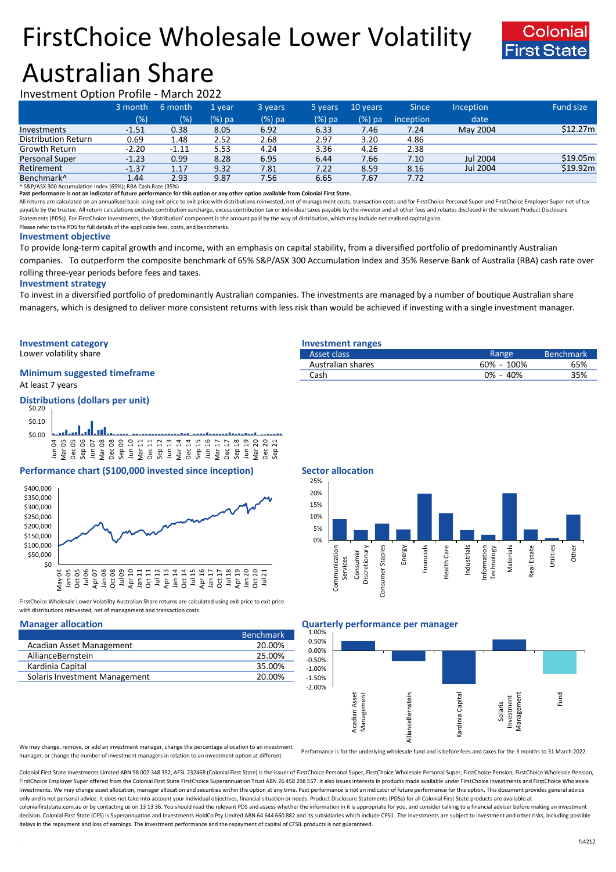# FirstChoice Wholesale Lower Volatility Australian Share



## Investment Option Profile - March 2022

|                            | 3 month | 6 month | 1 vear | 3 years | 5 years | 10 years | <b>Since</b> | <b>Inception</b> | Fund size |
|----------------------------|---------|---------|--------|---------|---------|----------|--------------|------------------|-----------|
|                            | (% )    | (%)     | (%) pa | (%) pa  | (%) pa  | $(%)$ pa | inception    | date             |           |
| Investments                | $-1.51$ | 0.38    | 8.05   | 6.92    | 6.33    | 7.46     | 7.24         | May 2004         | \$12.27m  |
| <b>Distribution Return</b> | 0.69    | 1.48    | 2.52   | 2.68    | 2.97    | 3.20     | 4.86         |                  |           |
| Growth Return              | $-2.20$ | $-1.11$ | 5.53   | 4.24    | 3.36    | 4.26     | 2.38         |                  |           |
| <b>Personal Super</b>      | $-1.23$ | 0.99    | 8.28   | 6.95    | 6.44    | 7.66     | 7.10         | Jul 2004         | \$19.05m  |
| Retirement                 | $-1.37$ | 1.17    | 9.32   | 7.81    | 7.22    | 8.59     | 8.16         | Jul 2004         | \$19.92m  |
| Benchmark <sup>^</sup>     | 1.44    | 2.93    | 9.87   | 7.56    | 6.65    | 7.67     | 7.72         |                  |           |

^ S&P/ASX 300 Accumulation Index (65%); RBA Cash Rate (35%)

**Past performance is not an indicator of future performance for this option or any other option available from Colonial First State.**

All returns are calculated on an annualised basis using exit price to exit price with distributions reinvested, net of management costs, transaction costs and for FirstChoice Personal Super and FirstChoice Employer Super n payable by the trustee. All return calculations exclude contribution surcharge, excess contribution tax or individual taxes payable by the investor and all other fees and rebates disclosed in the relevant Product Disclosur Statements (PDSs). For FirstChoice Investments, the 'distribution' component is the amount paid by the way of distribution, which may include net realised capital gains.

Please refer to the PDS for full details of the applicable fees, costs, and benchmarks.

### **Investment objective**

To provide long-term capital growth and income, with an emphasis on capital stability, from a diversified portfolio of predominantly Australian companies. To outperform the composite benchmark of 65% S&P/ASX 300 Accumulation Index and 35% Reserve Bank of Australia (RBA) cash rate over rolling three-year periods before fees and taxes.

### **Investment strategy**

To invest in a diversified portfolio of predominantly Australian companies. The investments are managed by a number of boutique Australian share managers, which is designed to deliver more consistent returns with less risk than would be achieved if investing with a single investment manager.

# **Investment category Investment ranges**

Lower volatility share

## **Minimum suggested timeframe**

At least 7 years

### **Distributions (dollars per unit)**



### **Performance chart (\$100,000 invested since inception)** Sector allocation



FirstChoice Wholesale Lower Volatility Australian Share returns are calculated using exit price to exit price with distributions reinvested, net of management and transaction costs

|                               | <b>Benchmark</b> |
|-------------------------------|------------------|
| Acadian Asset Management      | 20.00%           |
| AllianceBernstein             | 25.00%           |
| Kardinia Capital              | 35.00%           |
| Solaris Investment Management | 20.00%           |
|                               |                  |

| Asset class       | Range          | <b>Benchmark</b> |
|-------------------|----------------|------------------|
| Australian shares | $60\% - 100\%$ | 65%              |
| Cash              | $0\% - 40\%$   | 35%              |



### **Manager allocation Quarterly performance per manager**



We may change, remove, or add an investment manager, change the percentage allocation to an investment manager, or change the number of investment managers in relation to an investment option at different

Performance is for the underlying wholesale fund and is before fees and taxes for the 3 months to 31 March 2022.

Colonial First State Investments Limited ABN 98 002 348 352, AFSL 232468 (Colonial First State) is the issuer of FirstChoice Personal Super, FirstChoice Wholesale Personal Super, FirstChoice Personal Super, FirstChoice Who FirstChoice Employer Super offered from the Colonial First State FirstChoice Superannuation Trust ABN 26 458 298 557. It also issues interests in products made available under FirstChoice Investments and FirstChoice Wholes Investments. We may change asset allocation, manager allocation and securities within the option at any time. Past performance is not an indicator of future performance for this option. This document provides general advic only and is not personal advice. It does not take into account your individual objectives, financial situation or needs. Product Disclosure Statements (PDSs) for all Colonial First State products are available at colonialfirststate.com.au or by contacting us on 13 13 36. You should read the relevant PDS and assess whether the information in it is appropriate for you, and consider talking to a financial adviser before making an inve decision. Colonial First State (CFS) is Superannuation and Investments HoldCo Pty Limited ABN 64 644 660 882 and its subsidiaries which include CFSIL. The investments are subject to investment and other risks, including po delays in the repayment and loss of earnings. The investment performance and the repayment of capital of CFSIL products is not guaranteed.